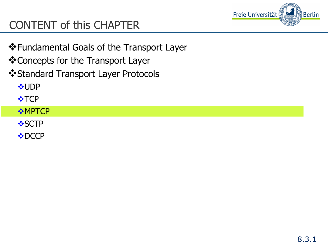

# CONTENT of this CHAPTER

- ❖ Fundamental Goals of the Transport Layer
- ❖ Concepts for the Transport Layer
- ❖ Standard Transport Layer Protocols

**VUDP** 

 $\cdot$  TCP

#### *❖***MPTCP**

**❖SCTP** 

**V**•DCCP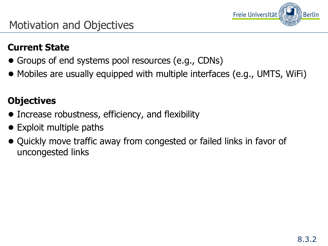

#### **Current State**

- Groups of end systems pool resources (e.g., CDNs)
- Mobiles are usually equipped with multiple interfaces (e.g., UMTS, WiFi)

#### **Objectives**

- Increase robustness, efficiency, and flexibility
- Exploit multiple paths
- Quickly move traffic away from congested or failed links in favor of uncongested links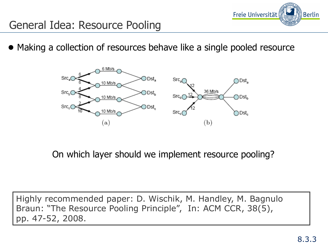

### General Idea: Resource Pooling

● Making a collection of resources behave like a single pooled resource



On which layer should we implement resource pooling?

Highly recommended paper: D. Wischik, M. Handley, M. Bagnulo Braun: "The Resource Pooling Principle", In: ACM CCR, 38(5), pp. 47-52, 2008.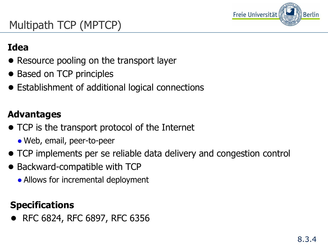

# Multipath TCP (MPTCP)

#### **Idea**

- Resource pooling on the transport layer
- Based on TCP principles
- Establishment of additional logical connections

#### **Advantages**

- TCP is the transport protocol of the Internet
	- Web, email, peer-to-peer
- TCP implements per se reliable data delivery and congestion control
- Backward-compatible with TCP
	- Allows for incremental deployment

#### **Specifications**

● RFC 6824, RFC 6897, RFC 6356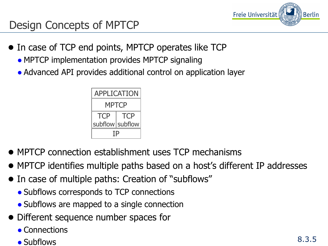

### Design Concepts of MPTCP

- In case of TCP end points, MPTCP operates like TCP
	- MPTCP implementation provides MPTCP signaling
	- Advanced API provides additional control on application layer



- MPTCP connection establishment uses TCP mechanisms
- MPTCP identifies multiple paths based on a host's different IP addresses
- In case of multiple paths: Creation of "subflows"
	- Subflows corresponds to TCP connections
	- Subflows are mapped to a single connection
- Different sequence number spaces for
	- Connections
	- Subflows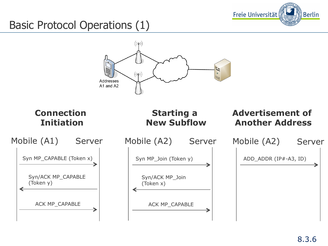

# Basic Protocol Operations (1)

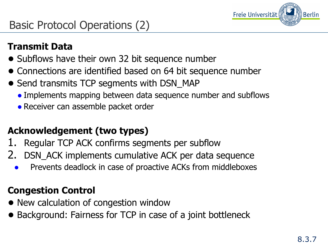

## Basic Protocol Operations (2)

#### **Transmit Data**

- Subflows have their own 32 bit sequence number
- Connections are identified based on 64 bit sequence number
- Send transmits TCP segments with DSN\_MAP
	- Implements mapping between data sequence number and subflows
	- Receiver can assemble packet order

### **Acknowledgement (two types)**

- 1. Regular TCP ACK confirms segments per subflow
- 2. DSN\_ACK implements cumulative ACK per data sequence
	- Prevents deadlock in case of proactive ACKs from middleboxes

#### **Congestion Control**

- New calculation of congestion window
- Background: Fairness for TCP in case of a joint bottleneck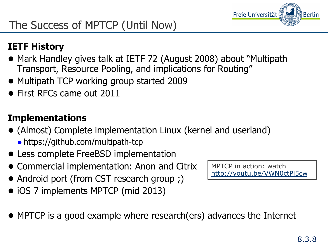

# The Success of MPTCP (Until Now)

#### **IETF History**

- Mark Handley gives talk at IETF 72 (August 2008) about "Multipath Transport, Resource Pooling, and implications for Routing"
- Multipath TCP working group started 2009
- First RFCs came out 2011

#### **Implementations**

- (Almost) Complete implementation Linux (kernel and userland) ● https://github.com/multipath-tcp
- Less complete FreeBSD implementation
- Commercial implementation: Anon and Citrix
- Android port (from CST research group ;)
- iOS 7 implements MPTCP (mid 2013)
- MPTCP is a good example where research(ers) advances the Internet

MPTCP in action: watch http://youtu.be/VWN0ctPi5cw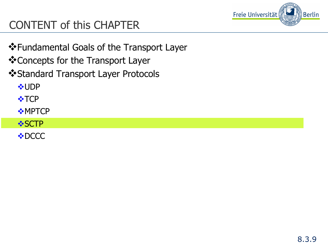

# CONTENT of this CHAPTER

- ❖ Fundamental Goals of the Transport Layer
- ❖ Concepts for the Transport Layer
- ❖ Standard Transport Layer Protocols

**VUDP** 

 $\cdot \cdot$ TCP

- $*$ MPTCP
- *❖***SCTP**

**V**• DCCC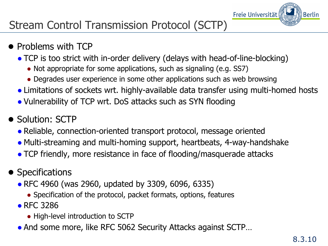

# Stream Control Transmission Protocol (SCTP)

#### ● Problems with TCP

- TCP is too strict with in-order delivery (delays with head-of-line-blocking)
	- Not appropriate for some applications, such as signaling (e.g. SS7)
	- Degrades user experience in some other applications such as web browsing
- Limitations of sockets wrt. highly-available data transfer using multi-homed hosts
- Vulnerability of TCP wrt. DoS attacks such as SYN flooding
- Solution: SCTP
	- Reliable, connection-oriented transport protocol, message oriented
	- Multi-streaming and multi-homing support, heartbeats, 4-way-handshake
	- TCP friendly, more resistance in face of flooding/masquerade attacks
- Specifications
	- RFC 4960 (was 2960, updated by 3309, 6096, 6335)
		- Specification of the protocol, packet formats, options, features
	- RFC 3286
		- High-level introduction to SCTP
	- And some more, like RFC 5062 Security Attacks against SCTP...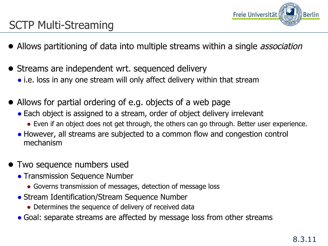

### SCTP Multi-Streaming

- Allows partitioning of data into multiple streams within a single *association*
- Streams are independent wrt. sequenced delivery
	- i.e. loss in any one stream will only affect delivery within that stream
- Allows for partial ordering of e.g. objects of a web page
	- Each object is assigned to a stream, order of object delivery irrelevant
		- Even if an object does not get through, the others can go through. Better user experience.
	- However, all streams are subjected to a common flow and congestion control mechanism
- Two sequence numbers used
	- Transmission Sequence Number
		- Governs transmission of messages, detection of message loss
	- Stream Identification/Stream Sequence Number
		- Determines the sequence of delivery of received data
	- Goal: separate streams are affected by message loss from other streams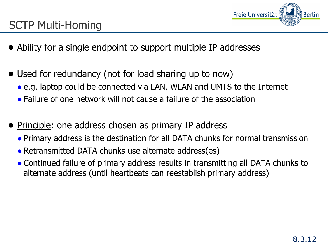

## SCTP Multi-Homing

- Ability for a single endpoint to support multiple IP addresses
- Used for redundancy (not for load sharing up to now)
	- e.g. laptop could be connected via LAN, WLAN and UMTS to the Internet
	- Failure of one network will not cause a failure of the association
- Principle: one address chosen as primary IP address
	- Primary address is the destination for all DATA chunks for normal transmission
	- Retransmitted DATA chunks use alternate address(es)
	- Continued failure of primary address results in transmitting all DATA chunks to alternate address (until heartbeats can reestablish primary address)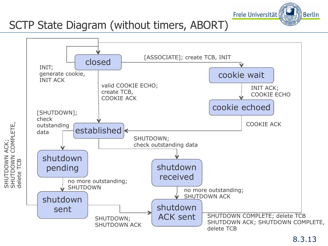

# SCTP State Diagram (without timers, ABORT)

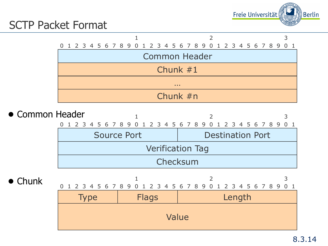

### SCTP Packet Format



- Common Header  $1$  2 3 0 1 2 3 4 5 6 7 8 9 0 1 2 3 4 5 6 7 8 9 0 1 2 3 4 5 6 7 8 9 0 1 Source Port **Destination Port** Verification Tag Checksum
- Chunk

|             |              | 0 1 2 3 4 5 6 7 8 9 0 1 2 3 4 5 6 7 8 9 0 1 2 3 4 5 6 7 8 9 0 1 |  |  |  |  |  |  |  |  |  |  |  |
|-------------|--------------|-----------------------------------------------------------------|--|--|--|--|--|--|--|--|--|--|--|
| <b>Type</b> | <b>Flags</b> | Length                                                          |  |  |  |  |  |  |  |  |  |  |  |
| Value       |              |                                                                 |  |  |  |  |  |  |  |  |  |  |  |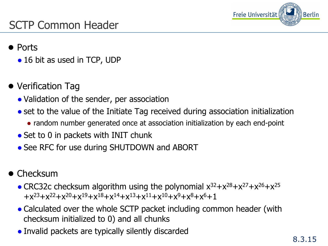

## SCTP Common Header

#### ● Ports

- 16 bit as used in TCP, UDP
- Verification Tag
	- Validation of the sender, per association
	- set to the value of the Initiate Tag received during association initialization
		- random number generated once at association initialization by each end-point
	- $\bullet$  Set to 0 in packets with INIT chunk
	- See RFC for use during SHUTDOWN and ABORT
- Checksum
	- CRC32c checksum algorithm using the polynomial  $x^{32}+x^{28}+x^{27}+x^{26}+x^{25}$  $+x^{23}+x^{22}+x^{20}+x^{19}+x^{18}+x^{14}+x^{13}+x^{11}+x^{10}+x^{9}+x^{8}+x^{6}+1$
	- Calculated over the whole SCTP packet including common header (with checksum initialized to 0) and all chunks
	- Invalid packets are typically silently discarded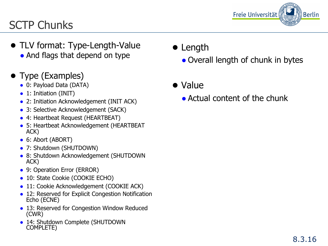

# SCTP Chunks

- TLV format: Type-Length-Value • And flags that depend on type
- Type (Examples)
	- 0: Payload Data (DATA)
	- 1: Initiation (INIT)
	- 2: Initiation Acknowledgement (INIT ACK)
	- 3: Selective Acknowledgement (SACK)
	- 4: Heartbeat Request (HEARTBEAT)
	- 5: Heartbeat Acknowledgement (HEARTBEAT ACK)
	- 6: Abort (ABORT)
	- 7: Shutdown (SHUTDOWN)
	- 8: Shutdown Acknowledgement (SHUTDOWN ACK)
	- 9: Operation Error (ERROR)
	- 10: State Cookie (COOKIE ECHO)
	- 11: Cookie Acknowledgement (COOKIE ACK)
	- 12: Reserved for Explicit Congestion Notification Echo (ECNE)
	- 13: Reserved for Congestion Window Reduced (CWR)
	- 14: Shutdown Complete (SHUTDOWN COMPLETE)
- Length
	- Overall length of chunk in bytes

● Value

● Actual content of the chunk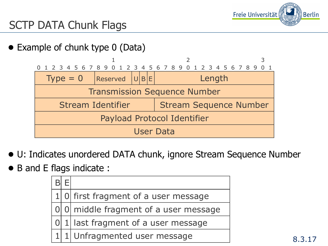

# SCTP DATA Chunk Flags

● Example of chunk type 0 (Data)

|                                     |                   |  | 0 1 2 3 4 5 6 7 8 9 0 1 2 3 4 5 6 7 8 9 0 1 2 3 4 5 6 7 8 9 0 |  |  |  |  |  |  |  |  |  |  |  |
|-------------------------------------|-------------------|--|---------------------------------------------------------------|--|--|--|--|--|--|--|--|--|--|--|
| $Type = 0$                          | Reserved  U B E   |  | Length                                                        |  |  |  |  |  |  |  |  |  |  |  |
| <b>Transmission Sequence Number</b> |                   |  |                                                               |  |  |  |  |  |  |  |  |  |  |  |
|                                     | Stream Identifier |  | <b>Stream Sequence Number</b>                                 |  |  |  |  |  |  |  |  |  |  |  |
| Payload Protocol Identifier         |                   |  |                                                               |  |  |  |  |  |  |  |  |  |  |  |
| User Data                           |                   |  |                                                               |  |  |  |  |  |  |  |  |  |  |  |

- U: Indicates unordered DATA chunk, ignore Stream Sequence Number
- B and E flags indicate :

|  | 1 0 first fragment of a user message    |
|--|-----------------------------------------|
|  | 0 0 0 middle fragment of a user message |
|  | 0 1 last fragment of a user message     |
|  | 1 1 Unfragmented user message           |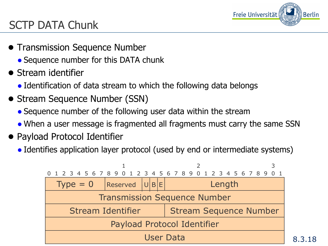

# SCTP DATA Chunk

- Transmission Sequence Number
	- Sequence number for this DATA chunk
- Stream identifier
	- Identification of data stream to which the following data belongs
- Stream Sequence Number (SSN)
	- Sequence number of the following user data within the stream
	- When a user message is fragmented all fragments must carry the same SSN
- Payload Protocol Identifier
	- Identifies application layer protocol (used by end or intermediate systems)

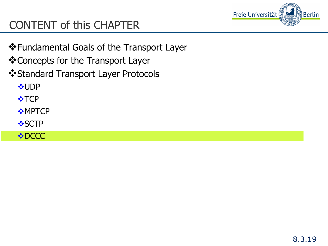

# CONTENT of this CHAPTER

- ❖ Fundamental Goals of the Transport Layer
- ❖ Concepts for the Transport Layer
- ❖ Standard Transport Layer Protocols

**VUDP** 

 $\cdot \cdot$ TCP

- $\cdot$ MPTCP
- **❖SCTP**

**VDCCC**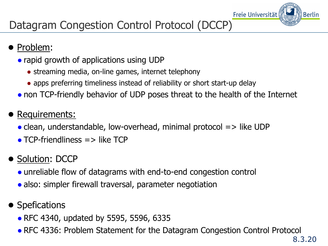

# Datagram Congestion Control Protocol (DCCP)

- Problem:
	- rapid growth of applications using UDP
		- streaming media, on-line games, internet telephony
		- apps preferring timeliness instead of reliability or short start-up delay
	- non TCP-friendly behavior of UDP poses threat to the health of the Internet
- Requirements:
	- $\bullet$  clean, understandable, low-overhead, minimal protocol  $\Rightarrow$  like UDP
	- $\bullet$  TCP-friendliness  $\Rightarrow$  like TCP
- Solution: DCCP
	- unreliable flow of datagrams with end-to-end congestion control
	- also: simpler firewall traversal, parameter negotiation
- Spefications
	- RFC 4340, updated by 5595, 5596, 6335
	- RFC 4336: Problem Statement for the Datagram Congestion Control Protocol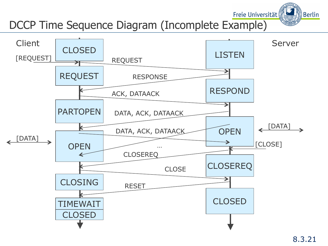## DCCP Time Sequence Diagram (Incomplete Example)



Freie Universität

∭Berlin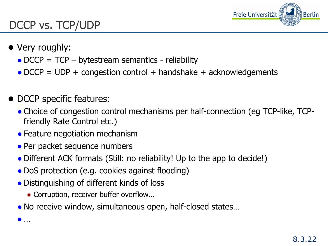

### DCCP vs. TCP/UDP

● Very roughly:

● …

- $\bullet$  DCCP = TCP bytestream semantics reliability
- $\bullet$  DCCP = UDP + congestion control + handshake + acknowledgements
- DCCP specific features:
	- Choice of congestion control mechanisms per half-connection (eg TCP-like, TCPfriendly Rate Control etc.)
	- Feature negotiation mechanism
	- Per packet sequence numbers
	- Different ACK formats (Still: no reliability! Up to the app to decide!)
	- DoS protection (e.g. cookies against flooding)
	- Distinguishing of different kinds of loss
		- Corruption, receiver buffer overflow...
	- No receive window, simultaneous open, half-closed states...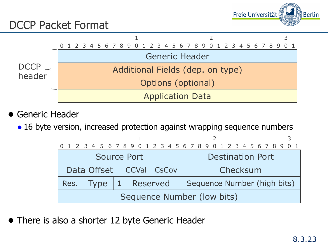

### DCCP Packet Format



- Generic Header
	- 16 byte version, increased protection against wrapping sequence numbers

|                             | 0 1 2 3 4 5 6 7 8 9 0 1 2 3 4 5 6 7 8 9 0 1 2 3 4 5 6 7 8 9 0 1 |  |          |  |  |  |  |  |                         |                             |  |  |  |  |  |  |  |  |  |  |  |  |  |  |
|-----------------------------|-----------------------------------------------------------------|--|----------|--|--|--|--|--|-------------------------|-----------------------------|--|--|--|--|--|--|--|--|--|--|--|--|--|--|
| Source Port                 |                                                                 |  |          |  |  |  |  |  | <b>Destination Port</b> |                             |  |  |  |  |  |  |  |  |  |  |  |  |  |  |
| Data Offset   CCVal   CsCov |                                                                 |  |          |  |  |  |  |  | Checksum                |                             |  |  |  |  |  |  |  |  |  |  |  |  |  |  |
|                             | Res. Type                                                       |  | Reserved |  |  |  |  |  |                         | Sequence Number (high bits) |  |  |  |  |  |  |  |  |  |  |  |  |  |  |
|                             | Sequence Number (low bits)                                      |  |          |  |  |  |  |  |                         |                             |  |  |  |  |  |  |  |  |  |  |  |  |  |  |

• There is also a shorter 12 byte Generic Header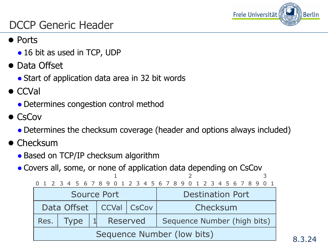

### DCCP Generic Header

#### ● Ports

- 16 bit as used in TCP, UDP
- Data Offset
	- Start of application data area in 32 bit words
- CCVal
	- Determines congestion control method
- CsCov
	- Determines the checksum coverage (header and options always included)
- Checksum
	- Based on TCP/IP checksum algorithm
	- Covers all, some, or none of application data depending on CsCov

| 0 1 2 3 4 5 6 7 8 9 0 1 2 3 4 5 6 7 8 9 0 1 2 3 4 5 6 7 8 9 0 1 |                             |  |  |  |          |  |  |  |                         |          |                             |  |  |  |  |  |  |  |  |  |  |  |  |  |  |  |  |
|-----------------------------------------------------------------|-----------------------------|--|--|--|----------|--|--|--|-------------------------|----------|-----------------------------|--|--|--|--|--|--|--|--|--|--|--|--|--|--|--|--|
| Source Port                                                     |                             |  |  |  |          |  |  |  | <b>Destination Port</b> |          |                             |  |  |  |  |  |  |  |  |  |  |  |  |  |  |  |  |
|                                                                 | Data Offset   CCVal   CsCov |  |  |  |          |  |  |  |                         | Checksum |                             |  |  |  |  |  |  |  |  |  |  |  |  |  |  |  |  |
| Res. $\vert$                                                    | Type                        |  |  |  | Reserved |  |  |  |                         |          | Sequence Number (high bits) |  |  |  |  |  |  |  |  |  |  |  |  |  |  |  |  |
| Sequence Number (low bits)                                      |                             |  |  |  |          |  |  |  |                         |          |                             |  |  |  |  |  |  |  |  |  |  |  |  |  |  |  |  |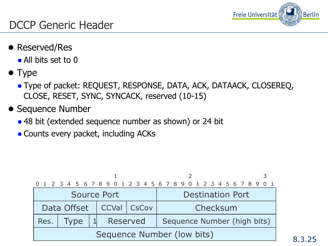

### DCCP Generic Header

- Reserved/Res
	- All bits set to 0
- Type
	- Type of packet: REQUEST, RESPONSE, DATA, ACK, DATAACK, CLOSEREQ, CLOSE, RESET, SYNC, SYNCACK, reserved (10-15)
- Sequence Number
	- 48 bit (extended sequence number as shown) or 24 bit
	- Counts every packet, including ACKs

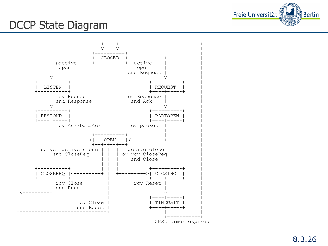

#### DCCP State Diagram